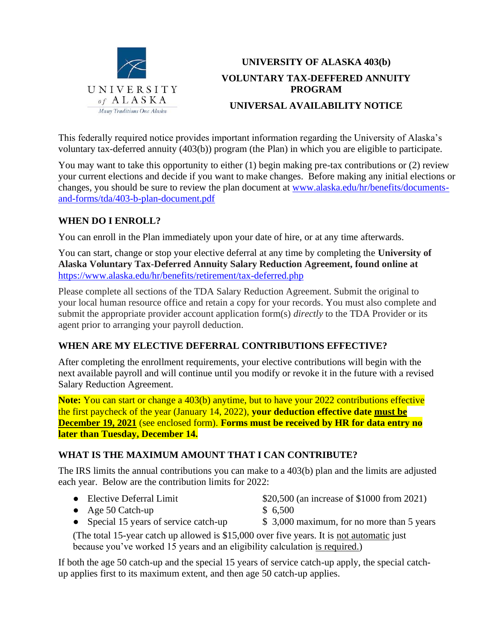

# **UNIVERSITY OF ALASKA 403(b) VOLUNTARY TAX-DEFFERED ANNUITY PROGRAM UNIVERSAL AVAILABILITY NOTICE**

This federally required notice provides important information regarding the University of Alaska's voluntary tax-deferred annuity (403(b)) program (the Plan) in which you are eligible to participate.

You may want to take this opportunity to either (1) begin making pre-tax contributions or (2) review your current elections and decide if you want to make changes. Before making any initial elections or changes, you should be sure to review the plan document at [www.alaska.edu/hr/benefits/documents](http://www.alaska.edu/hr/benefits/documents-and-forms/tda/403-b-plan-document.pdf)[and-forms/tda/403-b-plan-document.pdf](http://www.alaska.edu/hr/benefits/documents-and-forms/tda/403-b-plan-document.pdf)

### **WHEN DO I ENROLL?**

You can enroll in the Plan immediately upon your date of hire, or at any time afterwards.

You can start, change or stop your elective deferral at any time by completing the **University of Alaska Voluntary Tax-Deferred Annuity Salary Reduction Agreement, found online at**  <https://www.alaska.edu/hr/benefits/retirement/tax-deferred.php>

Please complete all sections of the TDA Salary Reduction Agreement. Submit the original to your local human resource office and retain a copy for your records. You must also complete and submit the appropriate provider account application form(s) *directly* to the TDA Provider or its agent prior to arranging your payroll deduction.

### **WHEN ARE MY ELECTIVE DEFERRAL CONTRIBUTIONS EFFECTIVE?**

After completing the enrollment requirements, your elective contributions will begin with the next available payroll and will continue until you modify or revoke it in the future with a revised Salary Reduction Agreement.

**Note:** You can start or change a 403(b) anytime, but to have your 2022 contributions effective the first paycheck of the year (January 14, 2022), **your deduction effective date must be December 19, 2021** (see enclosed form). **Forms must be received by HR for data entry no later than Tuesday, December 14.** 

### **WHAT IS THE MAXIMUM AMOUNT THAT I CAN CONTRIBUTE?**

The IRS limits the annual contributions you can make to a 403(b) plan and the limits are adjusted each year. Below are the contribution limits for 2022:

- Elective Deferral Limit \$20,500 (an increase of \$1000 from 2021)
- Age 50 Catch-up  $$ 6,500$
- Special 15 years of service catch-up \$ 3,000 maximum, for no more than 5 years

(The total 15-year catch up allowed is \$15,000 over five years. It is not automatic just because you've worked 15 years and an eligibility calculation is required.)

If both the age 50 catch-up and the special 15 years of service catch-up apply, the special catchup applies first to its maximum extent, and then age 50 catch-up applies.